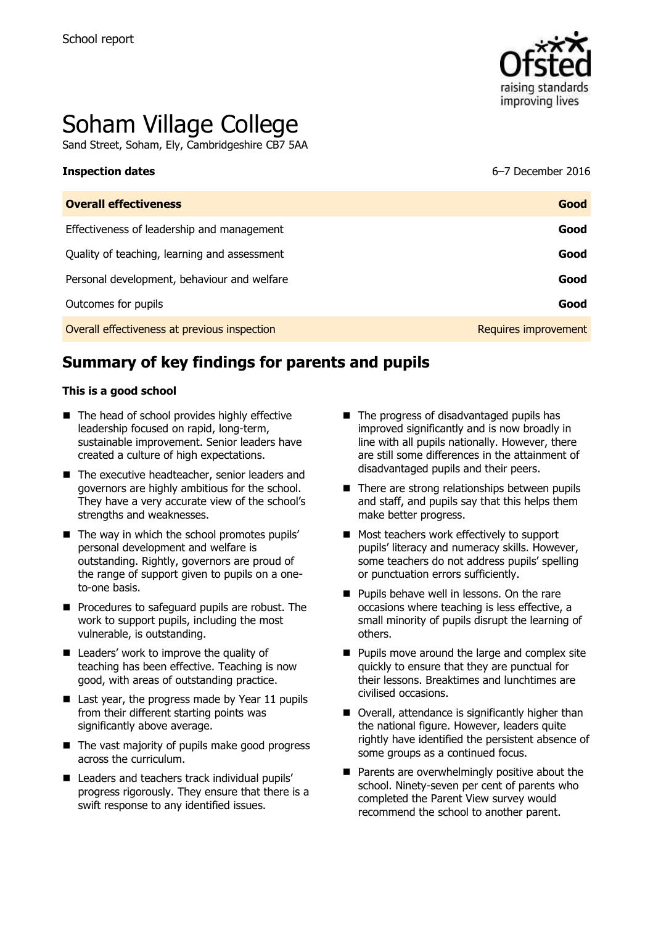

# Soham Village College

Sand Street, Soham, Ely, Cambridgeshire CB7 5AA

| <b>Inspection dates</b> | 6-7 December 2016 |
|-------------------------|-------------------|

| <b>Overall effectiveness</b>                 | Good                 |
|----------------------------------------------|----------------------|
| Effectiveness of leadership and management   | Good                 |
| Quality of teaching, learning and assessment | Good                 |
| Personal development, behaviour and welfare  | Good                 |
| Outcomes for pupils                          | Good                 |
| Overall effectiveness at previous inspection | Requires improvement |

# **Summary of key findings for parents and pupils**

### **This is a good school**

- The head of school provides highly effective leadership focused on rapid, long-term, sustainable improvement. Senior leaders have created a culture of high expectations.
- The executive headteacher, senior leaders and governors are highly ambitious for the school. They have a very accurate view of the school's strengths and weaknesses.
- $\blacksquare$  The way in which the school promotes pupils' personal development and welfare is outstanding. Rightly, governors are proud of the range of support given to pupils on a oneto-one basis.
- **Procedures to safeguard pupils are robust. The** work to support pupils, including the most vulnerable, is outstanding.
- Leaders' work to improve the quality of teaching has been effective. Teaching is now good, with areas of outstanding practice.
- $\blacksquare$  Last year, the progress made by Year 11 pupils from their different starting points was significantly above average.
- $\blacksquare$  The vast majority of pupils make good progress across the curriculum.
- Leaders and teachers track individual pupils' progress rigorously. They ensure that there is a swift response to any identified issues.
- The progress of disadvantaged pupils has improved significantly and is now broadly in line with all pupils nationally. However, there are still some differences in the attainment of disadvantaged pupils and their peers.
- $\blacksquare$  There are strong relationships between pupils and staff, and pupils say that this helps them make better progress.
- Most teachers work effectively to support pupils' literacy and numeracy skills. However, some teachers do not address pupils' spelling or punctuation errors sufficiently.
- **Pupils behave well in lessons. On the rare** occasions where teaching is less effective, a small minority of pupils disrupt the learning of others.
- **Pupils move around the large and complex site** quickly to ensure that they are punctual for their lessons. Breaktimes and lunchtimes are civilised occasions.
- Overall, attendance is significantly higher than the national figure. However, leaders quite rightly have identified the persistent absence of some groups as a continued focus.
- $\blacksquare$  Parents are overwhelmingly positive about the school. Ninety-seven per cent of parents who completed the Parent View survey would recommend the school to another parent.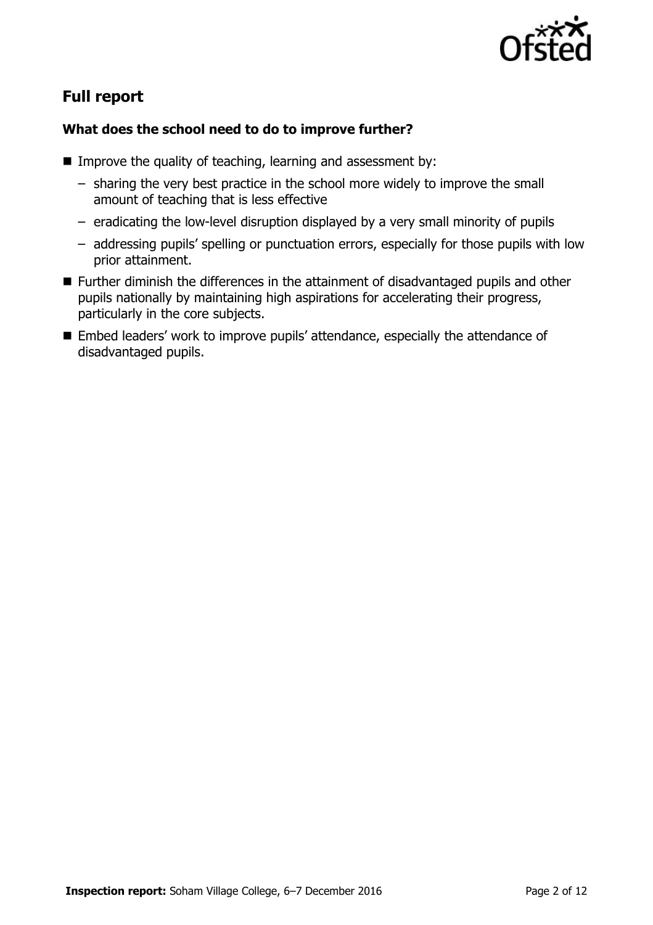

# **Full report**

### **What does the school need to do to improve further?**

- Improve the quality of teaching, learning and assessment by:
	- sharing the very best practice in the school more widely to improve the small amount of teaching that is less effective
	- eradicating the low-level disruption displayed by a very small minority of pupils
	- addressing pupils' spelling or punctuation errors, especially for those pupils with low prior attainment.
- Further diminish the differences in the attainment of disadvantaged pupils and other pupils nationally by maintaining high aspirations for accelerating their progress, particularly in the core subjects.
- Embed leaders' work to improve pupils' attendance, especially the attendance of disadvantaged pupils.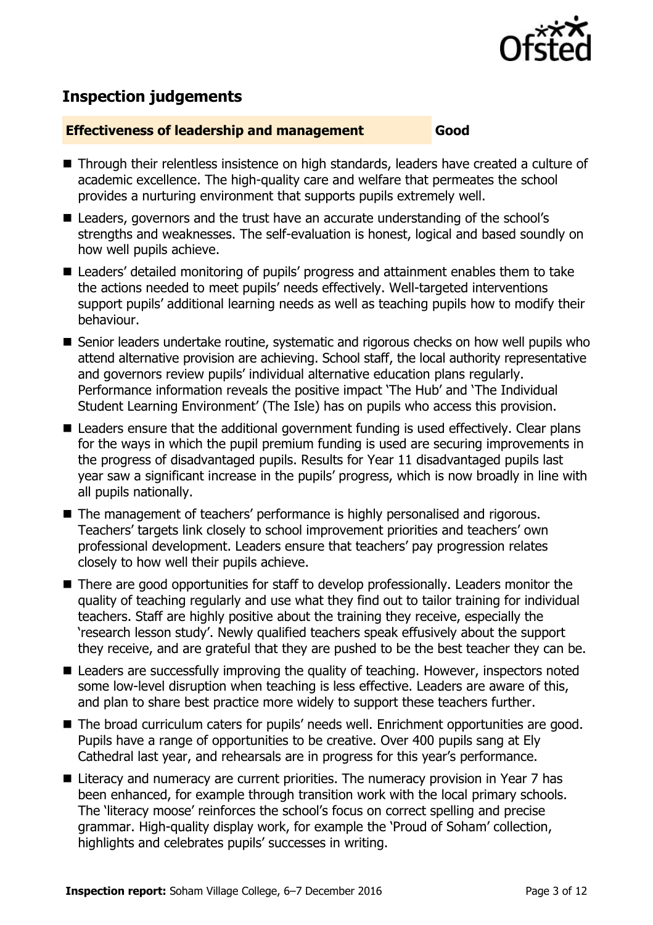

# **Inspection judgements**

### **Effectiveness of leadership and management Good**

- Through their relentless insistence on high standards, leaders have created a culture of academic excellence. The high-quality care and welfare that permeates the school provides a nurturing environment that supports pupils extremely well.
- Leaders, governors and the trust have an accurate understanding of the school's strengths and weaknesses. The self-evaluation is honest, logical and based soundly on how well pupils achieve.
- Leaders' detailed monitoring of pupils' progress and attainment enables them to take the actions needed to meet pupils' needs effectively. Well-targeted interventions support pupils' additional learning needs as well as teaching pupils how to modify their behaviour.
- Senior leaders undertake routine, systematic and rigorous checks on how well pupils who attend alternative provision are achieving. School staff, the local authority representative and governors review pupils' individual alternative education plans regularly. Performance information reveals the positive impact 'The Hub' and 'The Individual Student Learning Environment' (The Isle) has on pupils who access this provision.
- Leaders ensure that the additional government funding is used effectively. Clear plans for the ways in which the pupil premium funding is used are securing improvements in the progress of disadvantaged pupils. Results for Year 11 disadvantaged pupils last year saw a significant increase in the pupils' progress, which is now broadly in line with all pupils nationally.
- The management of teachers' performance is highly personalised and rigorous. Teachers' targets link closely to school improvement priorities and teachers' own professional development. Leaders ensure that teachers' pay progression relates closely to how well their pupils achieve.
- There are good opportunities for staff to develop professionally. Leaders monitor the quality of teaching regularly and use what they find out to tailor training for individual teachers. Staff are highly positive about the training they receive, especially the 'research lesson study'. Newly qualified teachers speak effusively about the support they receive, and are grateful that they are pushed to be the best teacher they can be.
- Leaders are successfully improving the quality of teaching. However, inspectors noted some low-level disruption when teaching is less effective. Leaders are aware of this, and plan to share best practice more widely to support these teachers further.
- The broad curriculum caters for pupils' needs well. Enrichment opportunities are good. Pupils have a range of opportunities to be creative. Over 400 pupils sang at Ely Cathedral last year, and rehearsals are in progress for this year's performance.
- Literacy and numeracy are current priorities. The numeracy provision in Year 7 has been enhanced, for example through transition work with the local primary schools. The 'literacy moose' reinforces the school's focus on correct spelling and precise grammar. High-quality display work, for example the 'Proud of Soham' collection, highlights and celebrates pupils' successes in writing.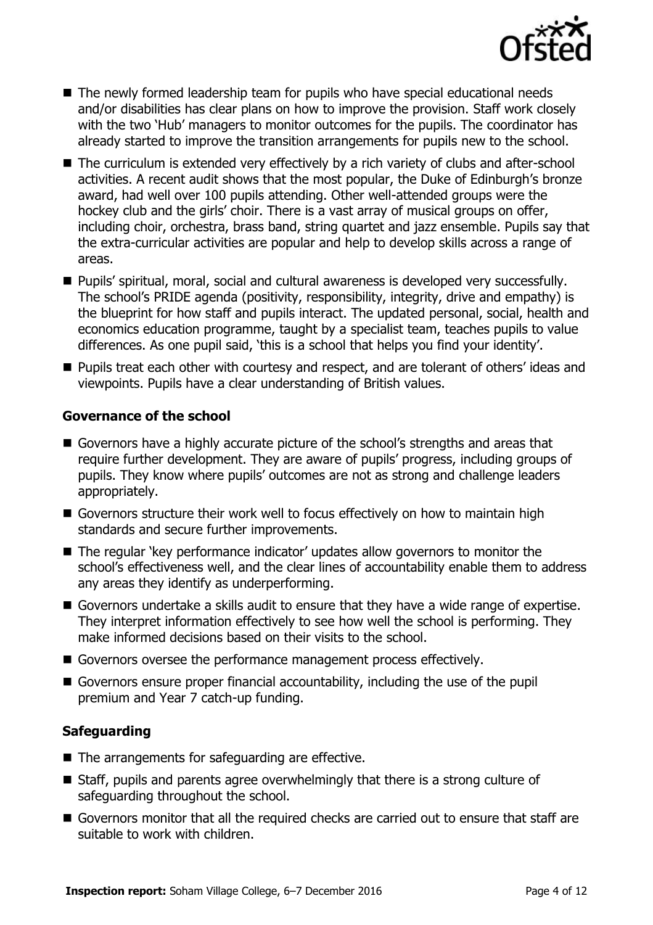

- The newly formed leadership team for pupils who have special educational needs and/or disabilities has clear plans on how to improve the provision. Staff work closely with the two 'Hub' managers to monitor outcomes for the pupils. The coordinator has already started to improve the transition arrangements for pupils new to the school.
- The curriculum is extended very effectively by a rich variety of clubs and after-school activities. A recent audit shows that the most popular, the Duke of Edinburgh's bronze award, had well over 100 pupils attending. Other well-attended groups were the hockey club and the girls' choir. There is a vast array of musical groups on offer, including choir, orchestra, brass band, string quartet and jazz ensemble. Pupils say that the extra-curricular activities are popular and help to develop skills across a range of areas.
- Pupils' spiritual, moral, social and cultural awareness is developed very successfully. The school's PRIDE agenda (positivity, responsibility, integrity, drive and empathy) is the blueprint for how staff and pupils interact. The updated personal, social, health and economics education programme, taught by a specialist team, teaches pupils to value differences. As one pupil said, 'this is a school that helps you find your identity'.
- **Pupils treat each other with courtesy and respect, and are tolerant of others' ideas and** viewpoints. Pupils have a clear understanding of British values.

### **Governance of the school**

- Governors have a highly accurate picture of the school's strengths and areas that require further development. They are aware of pupils' progress, including groups of pupils. They know where pupils' outcomes are not as strong and challenge leaders appropriately.
- Governors structure their work well to focus effectively on how to maintain high standards and secure further improvements.
- The regular 'key performance indicator' updates allow governors to monitor the school's effectiveness well, and the clear lines of accountability enable them to address any areas they identify as underperforming.
- Governors undertake a skills audit to ensure that they have a wide range of expertise. They interpret information effectively to see how well the school is performing. They make informed decisions based on their visits to the school.
- Governors oversee the performance management process effectively.
- Governors ensure proper financial accountability, including the use of the pupil premium and Year 7 catch-up funding.

### **Safeguarding**

- $\blacksquare$  The arrangements for safeguarding are effective.
- Staff, pupils and parents agree overwhelmingly that there is a strong culture of safeguarding throughout the school.
- Governors monitor that all the required checks are carried out to ensure that staff are suitable to work with children.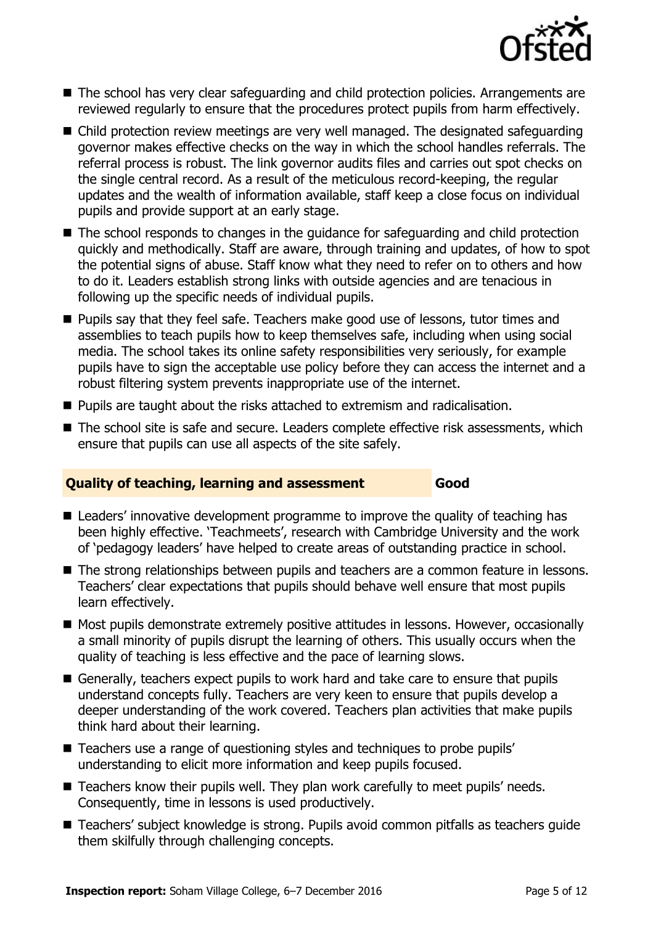

- The school has very clear safeguarding and child protection policies. Arrangements are reviewed regularly to ensure that the procedures protect pupils from harm effectively.
- Child protection review meetings are very well managed. The designated safeguarding governor makes effective checks on the way in which the school handles referrals. The referral process is robust. The link governor audits files and carries out spot checks on the single central record. As a result of the meticulous record-keeping, the regular updates and the wealth of information available, staff keep a close focus on individual pupils and provide support at an early stage.
- The school responds to changes in the guidance for safeguarding and child protection quickly and methodically. Staff are aware, through training and updates, of how to spot the potential signs of abuse. Staff know what they need to refer on to others and how to do it. Leaders establish strong links with outside agencies and are tenacious in following up the specific needs of individual pupils.
- **Pupils say that they feel safe. Teachers make good use of lessons, tutor times and** assemblies to teach pupils how to keep themselves safe, including when using social media. The school takes its online safety responsibilities very seriously, for example pupils have to sign the acceptable use policy before they can access the internet and a robust filtering system prevents inappropriate use of the internet.
- **Pupils are taught about the risks attached to extremism and radicalisation.**
- The school site is safe and secure. Leaders complete effective risk assessments, which ensure that pupils can use all aspects of the site safely.

### **Quality of teaching, learning and assessment Good**

- Leaders' innovative development programme to improve the quality of teaching has been highly effective. 'Teachmeets', research with Cambridge University and the work of 'pedagogy leaders' have helped to create areas of outstanding practice in school.
- The strong relationships between pupils and teachers are a common feature in lessons. Teachers' clear expectations that pupils should behave well ensure that most pupils learn effectively.
- Most pupils demonstrate extremely positive attitudes in lessons. However, occasionally a small minority of pupils disrupt the learning of others. This usually occurs when the quality of teaching is less effective and the pace of learning slows.
- Generally, teachers expect pupils to work hard and take care to ensure that pupils understand concepts fully. Teachers are very keen to ensure that pupils develop a deeper understanding of the work covered. Teachers plan activities that make pupils think hard about their learning.
- Teachers use a range of questioning styles and techniques to probe pupils' understanding to elicit more information and keep pupils focused.
- Teachers know their pupils well. They plan work carefully to meet pupils' needs. Consequently, time in lessons is used productively.
- Teachers' subject knowledge is strong. Pupils avoid common pitfalls as teachers quide them skilfully through challenging concepts.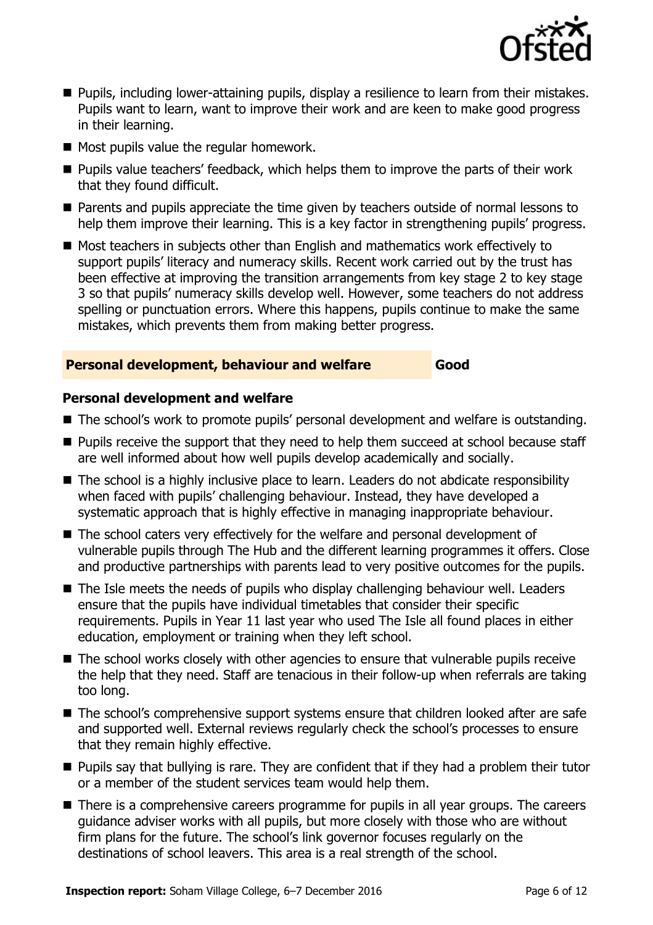

- **Pupils, including lower-attaining pupils, display a resilience to learn from their mistakes.** Pupils want to learn, want to improve their work and are keen to make good progress in their learning.
- **Most pupils value the regular homework.**
- **Pupils value teachers' feedback, which helps them to improve the parts of their work** that they found difficult.
- Parents and pupils appreciate the time given by teachers outside of normal lessons to help them improve their learning. This is a key factor in strengthening pupils' progress.
- Most teachers in subjects other than English and mathematics work effectively to support pupils' literacy and numeracy skills. Recent work carried out by the trust has been effective at improving the transition arrangements from key stage 2 to key stage 3 so that pupils' numeracy skills develop well. However, some teachers do not address spelling or punctuation errors. Where this happens, pupils continue to make the same mistakes, which prevents them from making better progress.

### **Personal development, behaviour and welfare Good**

### **Personal development and welfare**

- The school's work to promote pupils' personal development and welfare is outstanding.
- **Pupils receive the support that they need to help them succeed at school because staff** are well informed about how well pupils develop academically and socially.
- The school is a highly inclusive place to learn. Leaders do not abdicate responsibility when faced with pupils' challenging behaviour. Instead, they have developed a systematic approach that is highly effective in managing inappropriate behaviour.
- The school caters very effectively for the welfare and personal development of vulnerable pupils through The Hub and the different learning programmes it offers. Close and productive partnerships with parents lead to very positive outcomes for the pupils.
- The Isle meets the needs of pupils who display challenging behaviour well. Leaders ensure that the pupils have individual timetables that consider their specific requirements. Pupils in Year 11 last year who used The Isle all found places in either education, employment or training when they left school.
- The school works closely with other agencies to ensure that vulnerable pupils receive the help that they need. Staff are tenacious in their follow-up when referrals are taking too long.
- The school's comprehensive support systems ensure that children looked after are safe and supported well. External reviews regularly check the school's processes to ensure that they remain highly effective.
- **Pupils say that bullying is rare. They are confident that if they had a problem their tutor** or a member of the student services team would help them.
- There is a comprehensive careers programme for pupils in all year groups. The careers guidance adviser works with all pupils, but more closely with those who are without firm plans for the future. The school's link governor focuses regularly on the destinations of school leavers. This area is a real strength of the school.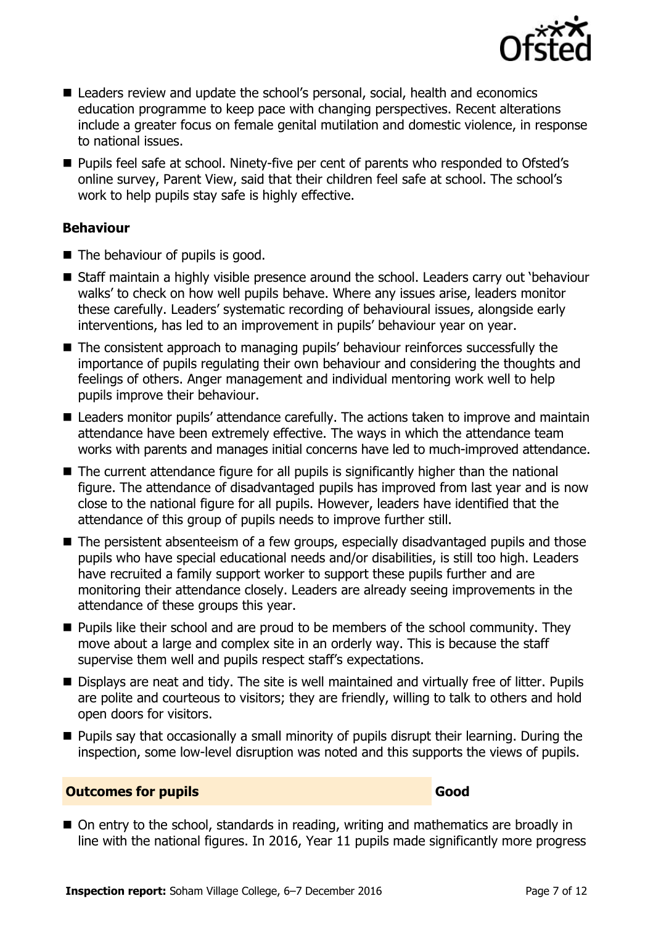

- Leaders review and update the school's personal, social, health and economics education programme to keep pace with changing perspectives. Recent alterations include a greater focus on female genital mutilation and domestic violence, in response to national issues.
- Pupils feel safe at school. Ninety-five per cent of parents who responded to Ofsted's online survey, Parent View, said that their children feel safe at school. The school's work to help pupils stay safe is highly effective.

### **Behaviour**

- The behaviour of pupils is good.
- Staff maintain a highly visible presence around the school. Leaders carry out 'behaviour walks' to check on how well pupils behave. Where any issues arise, leaders monitor these carefully. Leaders' systematic recording of behavioural issues, alongside early interventions, has led to an improvement in pupils' behaviour year on year.
- The consistent approach to managing pupils' behaviour reinforces successfully the importance of pupils regulating their own behaviour and considering the thoughts and feelings of others. Anger management and individual mentoring work well to help pupils improve their behaviour.
- Leaders monitor pupils' attendance carefully. The actions taken to improve and maintain attendance have been extremely effective. The ways in which the attendance team works with parents and manages initial concerns have led to much-improved attendance.
- The current attendance figure for all pupils is significantly higher than the national figure. The attendance of disadvantaged pupils has improved from last year and is now close to the national figure for all pupils. However, leaders have identified that the attendance of this group of pupils needs to improve further still.
- The persistent absenteeism of a few groups, especially disadvantaged pupils and those pupils who have special educational needs and/or disabilities, is still too high. Leaders have recruited a family support worker to support these pupils further and are monitoring their attendance closely. Leaders are already seeing improvements in the attendance of these groups this year.
- $\blacksquare$  Pupils like their school and are proud to be members of the school community. They move about a large and complex site in an orderly way. This is because the staff supervise them well and pupils respect staff's expectations.
- Displays are neat and tidy. The site is well maintained and virtually free of litter. Pupils are polite and courteous to visitors; they are friendly, willing to talk to others and hold open doors for visitors.
- **Pupils say that occasionally a small minority of pupils disrupt their learning. During the** inspection, some low-level disruption was noted and this supports the views of pupils.

### **Outcomes for pupils Good**

■ On entry to the school, standards in reading, writing and mathematics are broadly in line with the national figures. In 2016, Year 11 pupils made significantly more progress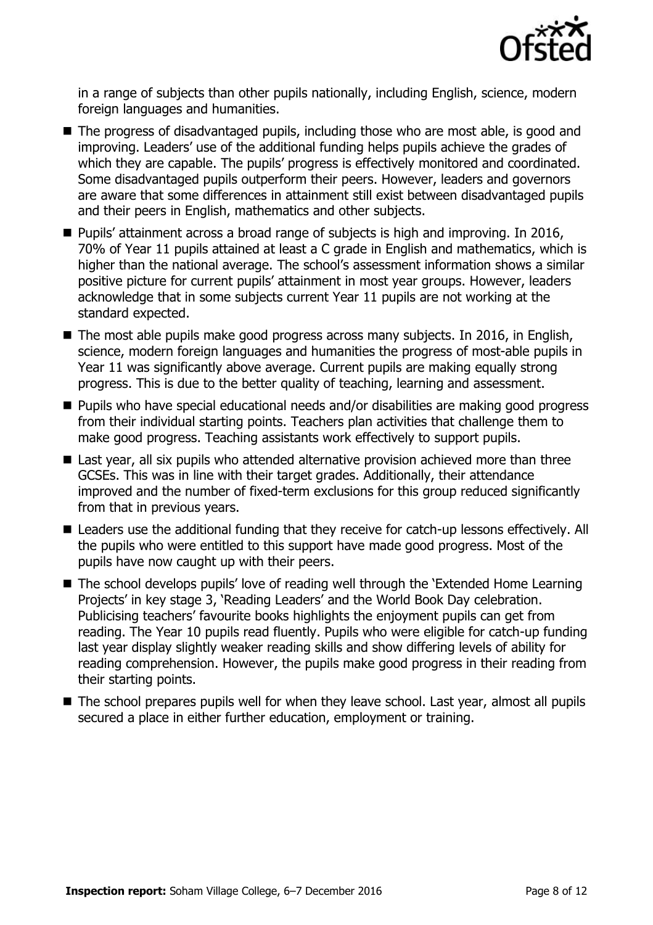

in a range of subjects than other pupils nationally, including English, science, modern foreign languages and humanities.

- The progress of disadvantaged pupils, including those who are most able, is good and improving. Leaders' use of the additional funding helps pupils achieve the grades of which they are capable. The pupils' progress is effectively monitored and coordinated. Some disadvantaged pupils outperform their peers. However, leaders and governors are aware that some differences in attainment still exist between disadvantaged pupils and their peers in English, mathematics and other subjects.
- Pupils' attainment across a broad range of subjects is high and improving. In 2016, 70% of Year 11 pupils attained at least a C grade in English and mathematics, which is higher than the national average. The school's assessment information shows a similar positive picture for current pupils' attainment in most year groups. However, leaders acknowledge that in some subjects current Year 11 pupils are not working at the standard expected.
- The most able pupils make good progress across many subjects. In 2016, in English, science, modern foreign languages and humanities the progress of most-able pupils in Year 11 was significantly above average. Current pupils are making equally strong progress. This is due to the better quality of teaching, learning and assessment.
- Pupils who have special educational needs and/or disabilities are making good progress from their individual starting points. Teachers plan activities that challenge them to make good progress. Teaching assistants work effectively to support pupils.
- Last year, all six pupils who attended alternative provision achieved more than three GCSEs. This was in line with their target grades. Additionally, their attendance improved and the number of fixed-term exclusions for this group reduced significantly from that in previous years.
- Leaders use the additional funding that they receive for catch-up lessons effectively. All the pupils who were entitled to this support have made good progress. Most of the pupils have now caught up with their peers.
- The school develops pupils' love of reading well through the 'Extended Home Learning Projects' in key stage 3, 'Reading Leaders' and the World Book Day celebration. Publicising teachers' favourite books highlights the enjoyment pupils can get from reading. The Year 10 pupils read fluently. Pupils who were eligible for catch-up funding last year display slightly weaker reading skills and show differing levels of ability for reading comprehension. However, the pupils make good progress in their reading from their starting points.
- The school prepares pupils well for when they leave school. Last year, almost all pupils secured a place in either further education, employment or training.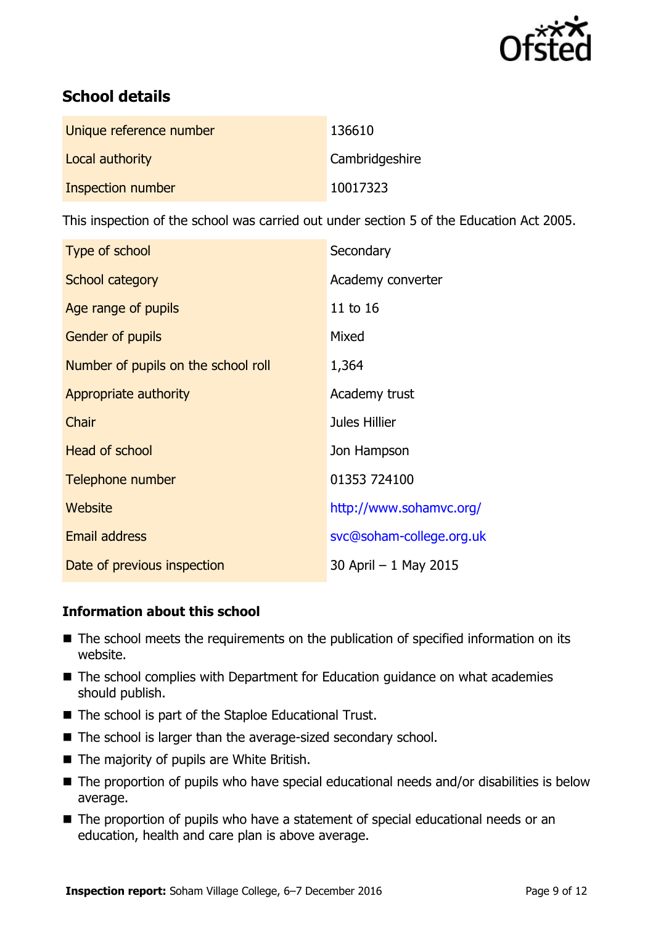

# **School details**

| Unique reference number | 136610         |
|-------------------------|----------------|
| Local authority         | Cambridgeshire |
| Inspection number       | 10017323       |

This inspection of the school was carried out under section 5 of the Education Act 2005.

| Type of school                      | Secondary                |
|-------------------------------------|--------------------------|
| <b>School category</b>              | Academy converter        |
| Age range of pupils                 | 11 to 16                 |
| Gender of pupils                    | Mixed                    |
| Number of pupils on the school roll | 1,364                    |
| Appropriate authority               | Academy trust            |
| Chair                               | Jules Hillier            |
| <b>Head of school</b>               | Jon Hampson              |
| Telephone number                    | 01353 724100             |
| Website                             | http://www.sohamvc.org/  |
| <b>Email address</b>                | svc@soham-college.org.uk |
| Date of previous inspection         | 30 April $-1$ May 2015   |

### **Information about this school**

- The school meets the requirements on the publication of specified information on its website.
- The school complies with Department for Education guidance on what academies should publish.
- The school is part of the Staploe Educational Trust.
- The school is larger than the average-sized secondary school.
- The majority of pupils are White British.
- The proportion of pupils who have special educational needs and/or disabilities is below average.
- The proportion of pupils who have a statement of special educational needs or an education, health and care plan is above average.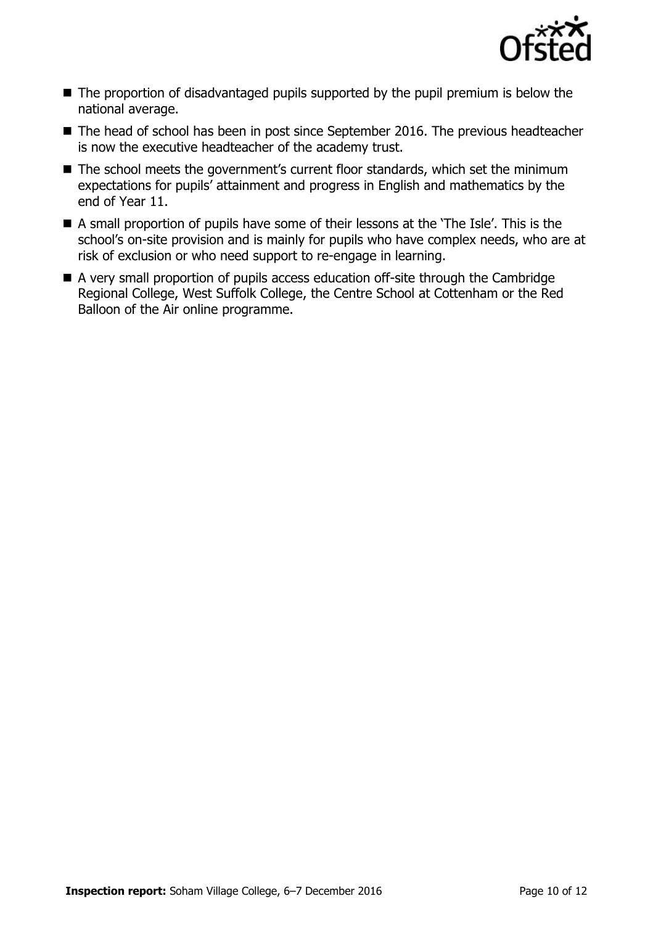

- $\blacksquare$  The proportion of disadvantaged pupils supported by the pupil premium is below the national average.
- The head of school has been in post since September 2016. The previous headteacher is now the executive headteacher of the academy trust.
- The school meets the government's current floor standards, which set the minimum expectations for pupils' attainment and progress in English and mathematics by the end of Year 11.
- A small proportion of pupils have some of their lessons at the 'The Isle'. This is the school's on-site provision and is mainly for pupils who have complex needs, who are at risk of exclusion or who need support to re-engage in learning.
- A very small proportion of pupils access education off-site through the Cambridge Regional College, West Suffolk College, the Centre School at Cottenham or the Red Balloon of the Air online programme.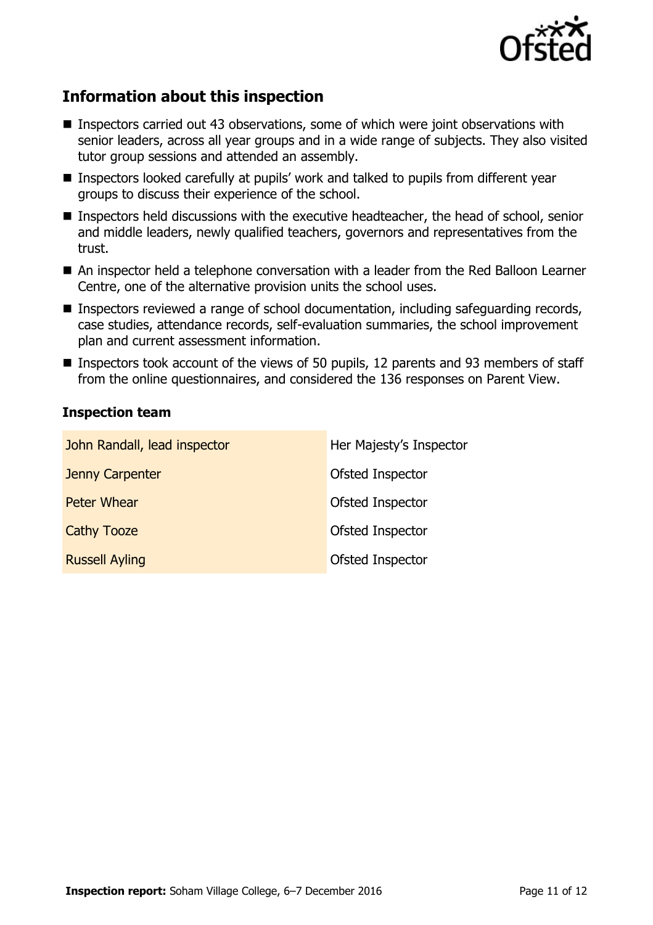

# **Information about this inspection**

- Inspectors carried out 43 observations, some of which were joint observations with senior leaders, across all year groups and in a wide range of subjects. They also visited tutor group sessions and attended an assembly.
- Inspectors looked carefully at pupils' work and talked to pupils from different year groups to discuss their experience of the school.
- Inspectors held discussions with the executive headteacher, the head of school, senior and middle leaders, newly qualified teachers, governors and representatives from the trust.
- An inspector held a telephone conversation with a leader from the Red Balloon Learner Centre, one of the alternative provision units the school uses.
- Inspectors reviewed a range of school documentation, including safeguarding records, case studies, attendance records, self-evaluation summaries, the school improvement plan and current assessment information.
- Inspectors took account of the views of 50 pupils, 12 parents and 93 members of staff from the online questionnaires, and considered the 136 responses on Parent View.

### **Inspection team**

| John Randall, lead inspector | Her Majesty's Inspector |
|------------------------------|-------------------------|
| <b>Jenny Carpenter</b>       | Ofsted Inspector        |
| Peter Whear                  | Ofsted Inspector        |
| <b>Cathy Tooze</b>           | Ofsted Inspector        |
| <b>Russell Ayling</b>        | Ofsted Inspector        |